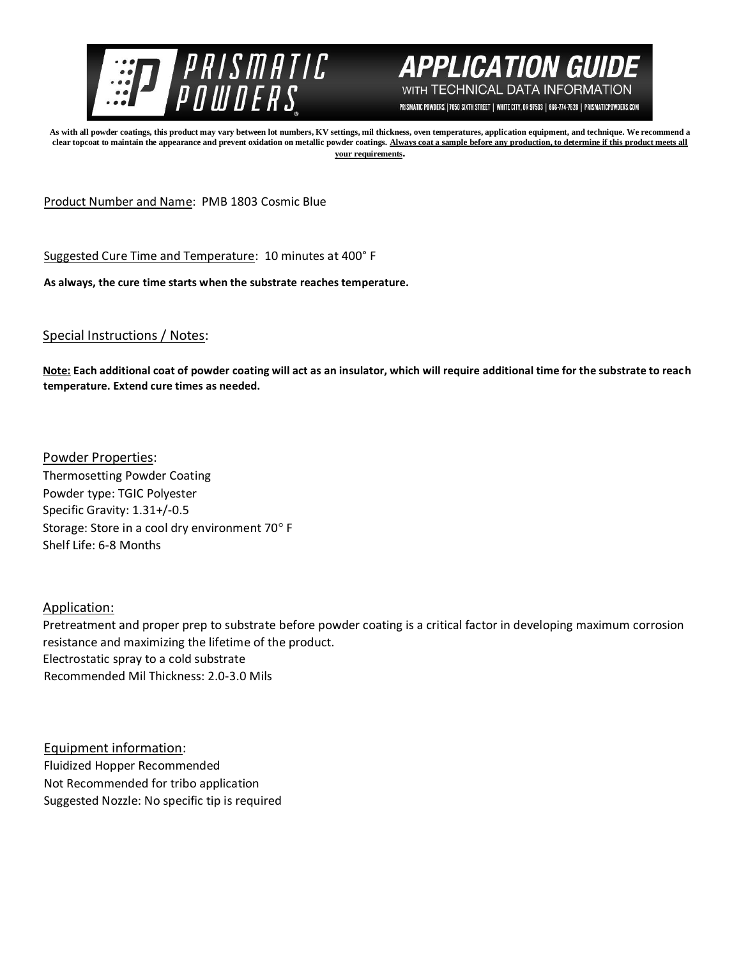



PRISMATIC POWDERS. | 7050 SIXTH STREET | WHITE CITY, OR 97503 | 866-774-7628 | PRISMATICPOWDERS.COM

**As with all powder coatings, this product may vary between lot numbers, KV settings, mil thickness, oven temperatures, application equipment, and technique. We recommend a clear topcoat to maintain the appearance and prevent oxidation on metallic powder coatings. Always coat a sample before any production, to determine if this product meets all your requirements.** 

Product Number and Name: PMB 1803 Cosmic Blue

Suggested Cure Time and Temperature: 10 minutes at 400° F

**As always, the cure time starts when the substrate reaches temperature.**

Special Instructions / Notes:

**Note: Each additional coat of powder coating will act as an insulator, which will require additional time for the substrate to reach temperature. Extend cure times as needed.** 

Powder Properties: Thermosetting Powder Coating Powder type: TGIC Polyester Specific Gravity: 1.31+/-0.5 Storage: Store in a cool dry environment 70° F Shelf Life: 6-8 Months

Application:

Pretreatment and proper prep to substrate before powder coating is a critical factor in developing maximum corrosion resistance and maximizing the lifetime of the product. Electrostatic spray to a cold substrate Recommended Mil Thickness: 2.0-3.0 Mils

Equipment information: Fluidized Hopper Recommended Not Recommended for tribo application Suggested Nozzle: No specific tip is required